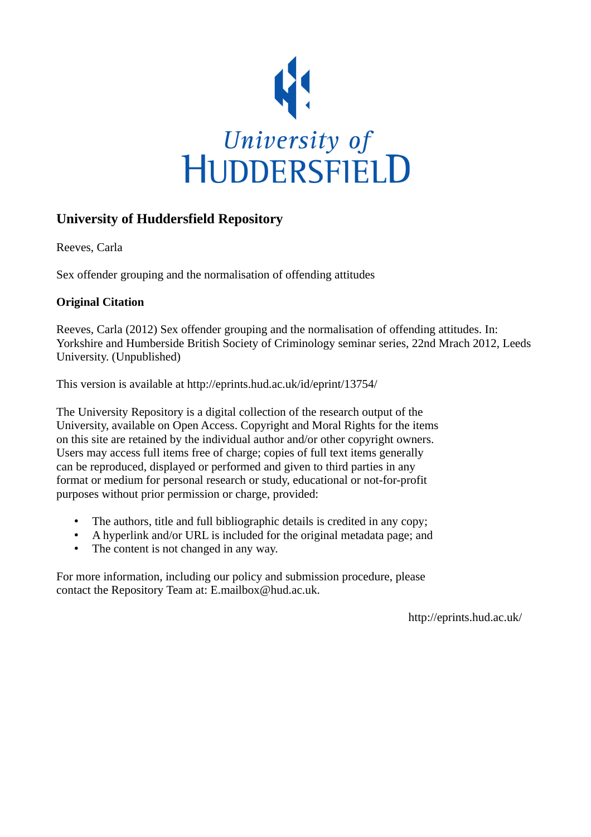

## **University of Huddersfield Repository**

Reeves, Carla

Sex offender grouping and the normalisation of offending attitudes

## **Original Citation**

Reeves, Carla (2012) Sex offender grouping and the normalisation of offending attitudes. In: Yorkshire and Humberside British Society of Criminology seminar series, 22nd Mrach 2012, Leeds University. (Unpublished)

This version is available at http://eprints.hud.ac.uk/id/eprint/13754/

The University Repository is a digital collection of the research output of the University, available on Open Access. Copyright and Moral Rights for the items on this site are retained by the individual author and/or other copyright owners. Users may access full items free of charge; copies of full text items generally can be reproduced, displayed or performed and given to third parties in any format or medium for personal research or study, educational or not-for-profit purposes without prior permission or charge, provided:

- The authors, title and full bibliographic details is credited in any copy;
- A hyperlink and/or URL is included for the original metadata page; and
- The content is not changed in any way.

For more information, including our policy and submission procedure, please contact the Repository Team at: E.mailbox@hud.ac.uk.

http://eprints.hud.ac.uk/